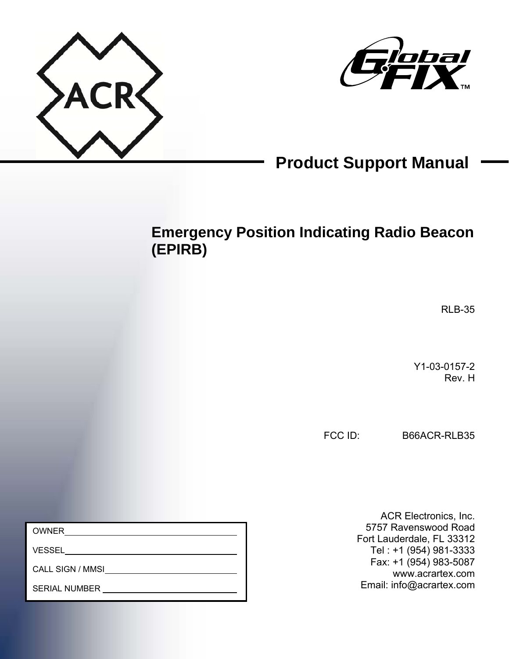



# **Product Support Manual**

## **Emergency Position Indicating Radio Beacon (EPIRB)**

RLB-35

Y1-03-0157-2 Rev. H

FCC ID: B66ACR-RLB35

OWNER

VESSEL

CALL SIGN / MMSI

SERIAL NUMBER

ACR Electronics, Inc. 5757 Ravenswood Road Fort Lauderdale, FL 33312 Tel : +1 (954) 981-3333 Fax: +1 (954) 983-5087 www.acrartex.com Email: info@acrartex.com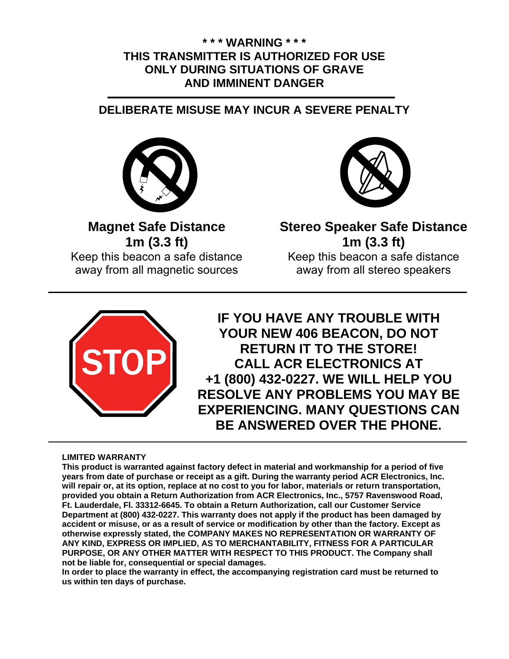### **\* \* \* WARNING \* \* \* THIS TRANSMITTER IS AUTHORIZED FOR USE ONLY DURING SITUATIONS OF GRAVE AND IMMINENT DANGER**

### **DELIBERATE MISUSE MAY INCUR A SEVERE PENALTY**



**Magnet Safe Distance 1m (3.3 ft)**  Keep this beacon a safe distance away from all magnetic sources

**Stereo Speaker Safe Distance 1m (3.3 ft)**  Keep this beacon a safe distance away from all stereo speakers



**IF YOU HAVE ANY TROUBLE WITH YOUR NEW 406 BEACON, DO NOT RETURN IT TO THE STORE! CALL ACR ELECTRONICS AT +1 (800) 432-0227. WE WILL HELP YOU RESOLVE ANY PROBLEMS YOU MAY BE EXPERIENCING. MANY QUESTIONS CAN BE ANSWERED OVER THE PHONE.** 

#### **LIMITED WARRANTY**

**This product is warranted against factory defect in material and workmanship for a period of five years from date of purchase or receipt as a gift. During the warranty period ACR Electronics, Inc. will repair or, at its option, replace at no cost to you for labor, materials or return transportation, provided you obtain a Return Authorization from ACR Electronics, Inc., 5757 Ravenswood Road, Ft. Lauderdale, Fl. 33312-6645. To obtain a Return Authorization, call our Customer Service Department at (800) 432-0227. This warranty does not apply if the product has been damaged by accident or misuse, or as a result of service or modification by other than the factory. Except as otherwise expressly stated, the COMPANY MAKES NO REPRESENTATION OR WARRANTY OF ANY KIND, EXPRESS OR IMPLIED, AS TO MERCHANTABILITY, FITNESS FOR A PARTICULAR PURPOSE, OR ANY OTHER MATTER WITH RESPECT TO THIS PRODUCT. The Company shall not be liable for, consequential or special damages.** 

**In order to place the warranty in effect, the accompanying registration card must be returned to us within ten days of purchase.**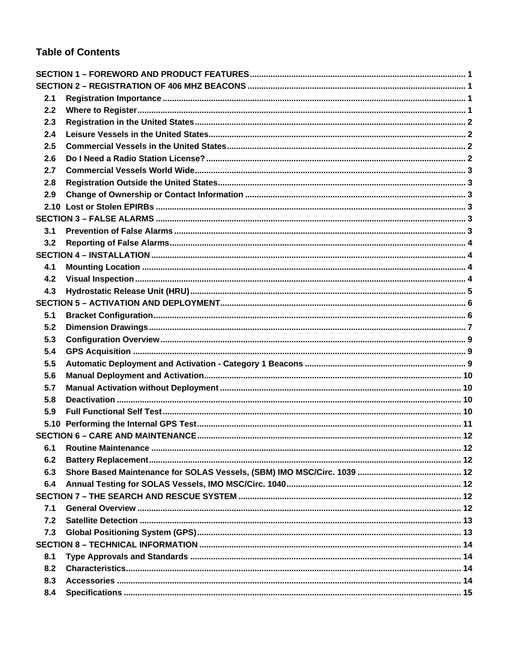### **Table of Contents**

| 2.1 |  |
|-----|--|
| 2.2 |  |
| 2.3 |  |
| 2.4 |  |
| 2.5 |  |
| 2.6 |  |
| 2.7 |  |
| 2.8 |  |
| 2.9 |  |
|     |  |
|     |  |
| 3.1 |  |
| 3.2 |  |
|     |  |
| 4.1 |  |
| 4.2 |  |
| 4.3 |  |
|     |  |
| 5.1 |  |
| 5.2 |  |
| 5.3 |  |
| 5.4 |  |
| 5.5 |  |
| 5.6 |  |
| 5.7 |  |
| 5.8 |  |
| 5.9 |  |
|     |  |
|     |  |
| 6.1 |  |
| 6.2 |  |
| 6.3 |  |
| 6.4 |  |
|     |  |
| 7.1 |  |
| 7.2 |  |
| 7.3 |  |
|     |  |
| 8.1 |  |
| 8.2 |  |
| 8.3 |  |
| 8.4 |  |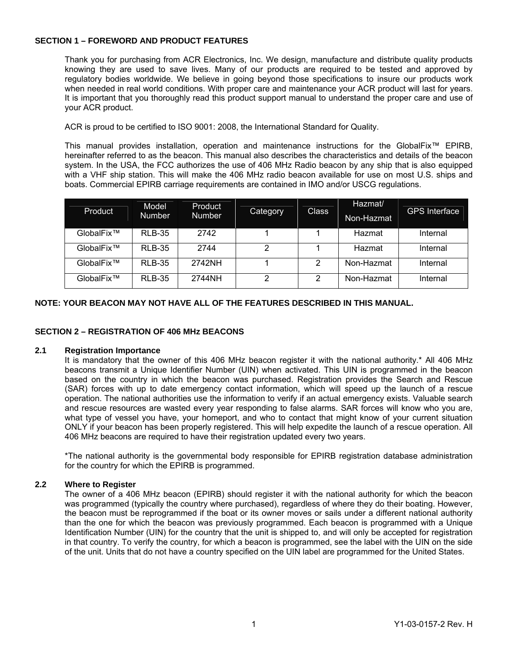#### **SECTION 1 – FOREWORD AND PRODUCT FEATURES**

Thank you for purchasing from ACR Electronics, Inc. We design, manufacture and distribute quality products knowing they are used to save lives. Many of our products are required to be tested and approved by regulatory bodies worldwide. We believe in going beyond those specifications to insure our products work when needed in real world conditions. With proper care and maintenance your ACR product will last for years. It is important that you thoroughly read this product support manual to understand the proper care and use of your ACR product.

ACR is proud to be certified to ISO 9001: 2008, the International Standard for Quality.

This manual provides installation, operation and maintenance instructions for the GlobalFix™ EPIRB, hereinafter referred to as the beacon. This manual also describes the characteristics and details of the beacon system. In the USA, the FCC authorizes the use of 406 MHz Radio beacon by any ship that is also equipped with a VHF ship station. This will make the 406 MHz radio beacon available for use on most U.S. ships and boats. Commercial EPIRB carriage requirements are contained in IMO and/or USCG regulations.

| Product    | Model<br><b>Number</b> | Product<br><b>Number</b> | Category | <b>Class</b> | Hazmat/<br>Non-Hazmat | <b>GPS Interface</b> |
|------------|------------------------|--------------------------|----------|--------------|-----------------------|----------------------|
| GlobalFix™ | <b>RLB-35</b>          | 2742                     |          |              | Hazmat                | Internal             |
| GlobalFix™ | <b>RLB-35</b>          | 2744                     |          |              | Hazmat                | Internal             |
| GlobalFix™ | <b>RLB-35</b>          | 2742NH                   |          | 2            | Non-Hazmat            | Internal             |
| GlobalFix™ | <b>RLB-35</b>          | 2744NH                   | ⌒        | 2            | Non-Hazmat            | Internal             |

#### **NOTE: YOUR BEACON MAY NOT HAVE ALL OF THE FEATURES DESCRIBED IN THIS MANUAL.**

#### **SECTION 2 – REGISTRATION OF 406 MHz BEACONS**

#### **2.1 Registration Importance**

It is mandatory that the owner of this 406 MHz beacon register it with the national authority.\* All 406 MHz beacons transmit a Unique Identifier Number (UIN) when activated. This UIN is programmed in the beacon based on the country in which the beacon was purchased. Registration provides the Search and Rescue (SAR) forces with up to date emergency contact information, which will speed up the launch of a rescue operation. The national authorities use the information to verify if an actual emergency exists. Valuable search and rescue resources are wasted every year responding to false alarms. SAR forces will know who you are, what type of vessel you have, your homeport, and who to contact that might know of your current situation ONLY if your beacon has been properly registered. This will help expedite the launch of a rescue operation. All 406 MHz beacons are required to have their registration updated every two years.

\*The national authority is the governmental body responsible for EPIRB registration database administration for the country for which the EPIRB is programmed.

#### **2.2 Where to Register**

The owner of a 406 MHz beacon (EPIRB) should register it with the national authority for which the beacon was programmed (typically the country where purchased), regardless of where they do their boating. However, the beacon must be reprogrammed if the boat or its owner moves or sails under a different national authority than the one for which the beacon was previously programmed. Each beacon is programmed with a Unique Identification Number (UIN) for the country that the unit is shipped to, and will only be accepted for registration in that country. To verify the country, for which a beacon is programmed, see the label with the UIN on the side of the unit. Units that do not have a country specified on the UIN label are programmed for the United States.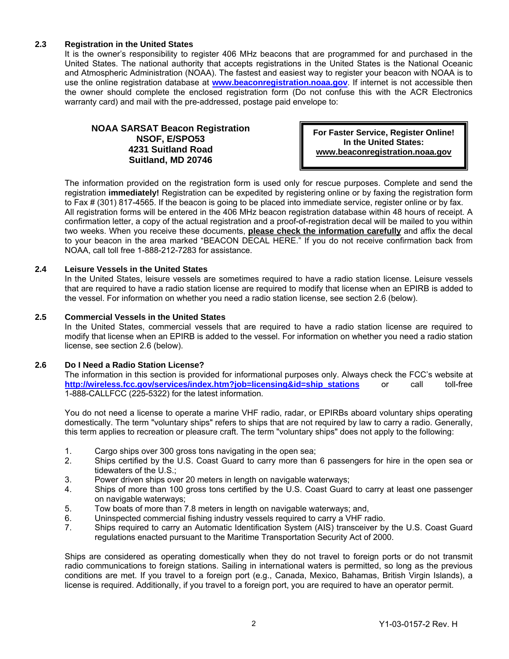#### **2.3 Registration in the United States**

It is the owner's responsibility to register 406 MHz beacons that are programmed for and purchased in the United States. The national authority that accepts registrations in the United States is the National Oceanic and Atmospheric Administration (NOAA). The fastest and easiest way to register your beacon with NOAA is to use the online registration database at **www.beaconregistration.noaa.gov**. If internet is not accessible then the owner should complete the enclosed registration form (Do not confuse this with the ACR Electronics warranty card) and mail with the pre-addressed, postage paid envelope to:

#### **NOAA SARSAT Beacon Registration NSOF, E/SPO53 4231 Suitland Road Suitland, MD 20746**

**For Faster Service, Register Online! In the United States: www.beaconregistration.noaa.gov** 

The information provided on the registration form is used only for rescue purposes. Complete and send the registration **immediately!** Registration can be expedited by registering online or by faxing the registration form to Fax # (301) 817-4565. If the beacon is going to be placed into immediate service, register online or by fax. All registration forms will be entered in the 406 MHz beacon registration database within 48 hours of receipt. A confirmation letter, a copy of the actual registration and a proof-of-registration decal will be mailed to you within two weeks. When you receive these documents, **please check the information carefully** and affix the decal to your beacon in the area marked "BEACON DECAL HERE." If you do not receive confirmation back from NOAA, call toll free 1-888-212-7283 for assistance.

#### **2.4 Leisure Vessels in the United States**

In the United States, leisure vessels are sometimes required to have a radio station license. Leisure vessels that are required to have a radio station license are required to modify that license when an EPIRB is added to the vessel. For information on whether you need a radio station license, see section 2.6 (below).

#### **2.5 Commercial Vessels in the United States**

In the United States, commercial vessels that are required to have a radio station license are required to modify that license when an EPIRB is added to the vessel. For information on whether you need a radio station license, see section 2.6 (below).

#### **2.6 Do I Need a Radio Station License?**

The information in this section is provided for informational purposes only. Always check the FCC's website at **http://wireless.fcc.gov/services/index.htm?job=licensing&id=ship\_stations** or call toll-free 1-888-CALLFCC (225-5322) for the latest information.

You do not need a license to operate a marine VHF radio, radar, or EPIRBs aboard voluntary ships operating domestically. The term "voluntary ships" refers to ships that are not required by law to carry a radio. Generally, this term applies to recreation or pleasure craft. The term "voluntary ships" does not apply to the following:

- 1. Cargo ships over 300 gross tons navigating in the open sea;
- 2. Ships certified by the U.S. Coast Guard to carry more than 6 passengers for hire in the open sea or tidewaters of the U.S.;
- 3. Power driven ships over 20 meters in length on navigable waterways;
- 4. Ships of more than 100 gross tons certified by the U.S. Coast Guard to carry at least one passenger on navigable waterways;
- 5. Tow boats of more than 7.8 meters in length on navigable waterways; and,
- 6. Uninspected commercial fishing industry vessels required to carry a VHF radio.
- 7. Ships required to carry an Automatic Identification System (AIS) transceiver by the U.S. Coast Guard regulations enacted pursuant to the Maritime Transportation Security Act of 2000.

Ships are considered as operating domestically when they do not travel to foreign ports or do not transmit radio communications to foreign stations. Sailing in international waters is permitted, so long as the previous conditions are met. If you travel to a foreign port (e.g., Canada, Mexico, Bahamas, British Virgin Islands), a license is required. Additionally, if you travel to a foreign port, you are required to have an operator permit.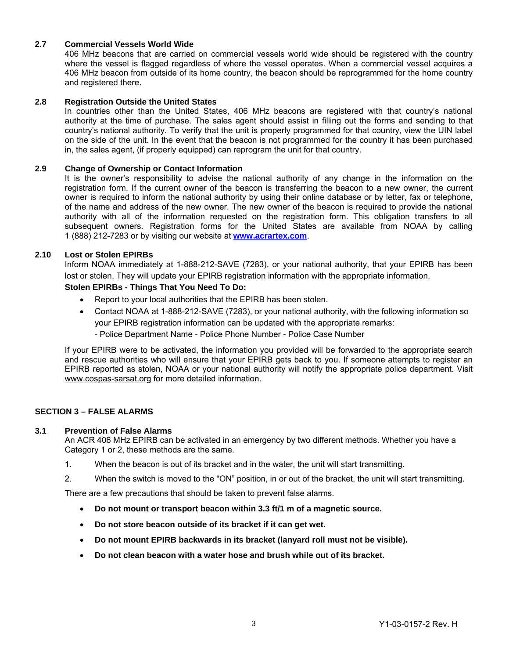#### **2.7 Commercial Vessels World Wide**

406 MHz beacons that are carried on commercial vessels world wide should be registered with the country where the vessel is flagged regardless of where the vessel operates. When a commercial vessel acquires a 406 MHz beacon from outside of its home country, the beacon should be reprogrammed for the home country and registered there.

#### **2.8 Registration Outside the United States**

In countries other than the United States, 406 MHz beacons are registered with that country's national authority at the time of purchase. The sales agent should assist in filling out the forms and sending to that country's national authority. To verify that the unit is properly programmed for that country, view the UIN label on the side of the unit. In the event that the beacon is not programmed for the country it has been purchased in, the sales agent, (if properly equipped) can reprogram the unit for that country.

#### **2.9 Change of Ownership or Contact Information**

It is the owner's responsibility to advise the national authority of any change in the information on the registration form. If the current owner of the beacon is transferring the beacon to a new owner, the current owner is required to inform the national authority by using their online database or by letter, fax or telephone, of the name and address of the new owner. The new owner of the beacon is required to provide the national authority with all of the information requested on the registration form. This obligation transfers to all subsequent owners. Registration forms for the United States are available from NOAA by calling 1 (888) 212-7283 or by visiting our website at **www.acrartex.com**.

#### **2.10 Lost or Stolen EPIRBs**

 Inform NOAA immediately at 1-888-212-SAVE (7283), or your national authority, that your EPIRB has been lost or stolen. They will update your EPIRB registration information with the appropriate information.

#### **Stolen EPIRBs - Things That You Need To Do:**

- Report to your local authorities that the EPIRB has been stolen.
- Contact NOAA at 1-888-212-SAVE (7283), or your national authority, with the following information so your EPIRB registration information can be updated with the appropriate remarks:

- Police Department Name - Police Phone Number - Police Case Number

 If your EPIRB were to be activated, the information you provided will be forwarded to the appropriate search and rescue authorities who will ensure that your EPIRB gets back to you. If someone attempts to register an EPIRB reported as stolen, NOAA or your national authority will notify the appropriate police department. Visit www.cospas-sarsat.org for more detailed information.

#### **SECTION 3 – FALSE ALARMS**

#### **3.1 Prevention of False Alarms**

An ACR 406 MHz EPIRB can be activated in an emergency by two different methods. Whether you have a Category 1 or 2, these methods are the same.

- 1. When the beacon is out of its bracket and in the water, the unit will start transmitting.
- 2. When the switch is moved to the "ON" position, in or out of the bracket, the unit will start transmitting.

There are a few precautions that should be taken to prevent false alarms.

- **Do not mount or transport beacon within 3.3 ft/1 m of a magnetic source.**
- **Do not store beacon outside of its bracket if it can get wet.**
- **Do not mount EPIRB backwards in its bracket (lanyard roll must not be visible).**
- **Do not clean beacon with a water hose and brush while out of its bracket.**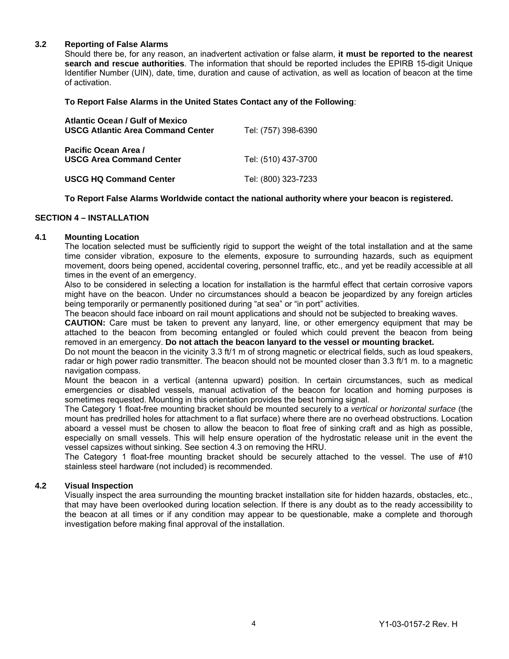#### **3.2 Reporting of False Alarms**

Should there be, for any reason, an inadvertent activation or false alarm, **it must be reported to the nearest search and rescue authorities**. The information that should be reported includes the EPIRB 15-digit Unique Identifier Number (UIN), date, time, duration and cause of activation, as well as location of beacon at the time of activation.

 **To Report False Alarms in the United States Contact any of the Following**:

| <b>Atlantic Ocean / Gulf of Mexico</b><br><b>USCG Atlantic Area Command Center</b> | Tel: (757) 398-6390 |
|------------------------------------------------------------------------------------|---------------------|
| Pacific Ocean Area /<br><b>USCG Area Command Center</b>                            | Tel: (510) 437-3700 |
| <b>USCG HQ Command Center</b>                                                      | Tel: (800) 323-7233 |

#### **To Report False Alarms Worldwide contact the national authority where your beacon is registered.**

#### **SECTION 4 – INSTALLATION**

#### **4.1 Mounting Location**

The location selected must be sufficiently rigid to support the weight of the total installation and at the same time consider vibration, exposure to the elements, exposure to surrounding hazards, such as equipment movement, doors being opened, accidental covering, personnel traffic, etc., and yet be readily accessible at all times in the event of an emergency.

Also to be considered in selecting a location for installation is the harmful effect that certain corrosive vapors might have on the beacon. Under no circumstances should a beacon be jeopardized by any foreign articles being temporarily or permanently positioned during "at sea" or "in port" activities.

The beacon should face inboard on rail mount applications and should not be subjected to breaking waves.

**CAUTION:** Care must be taken to prevent any lanyard, line, or other emergency equipment that may be attached to the beacon from becoming entangled or fouled which could prevent the beacon from being removed in an emergency. **Do not attach the beacon lanyard to the vessel or mounting bracket.**

Do not mount the beacon in the vicinity 3.3 ft/1 m of strong magnetic or electrical fields, such as loud speakers, radar or high power radio transmitter. The beacon should not be mounted closer than 3.3 ft/1 m. to a magnetic navigation compass.

Mount the beacon in a vertical (antenna upward) position. In certain circumstances, such as medical emergencies or disabled vessels, manual activation of the beacon for location and homing purposes is sometimes requested. Mounting in this orientation provides the best homing signal.

The Category 1 float-free mounting bracket should be mounted securely to a *vertical or horizontal surface* (the mount has predrilled holes for attachment to a flat surface) where there are no overhead obstructions. Location aboard a vessel must be chosen to allow the beacon to float free of sinking craft and as high as possible, especially on small vessels. This will help ensure operation of the hydrostatic release unit in the event the vessel capsizes without sinking. See section 4.3 on removing the HRU.

The Category 1 float-free mounting bracket should be securely attached to the vessel. The use of #10 stainless steel hardware (not included) is recommended.

#### **4.2 Visual Inspection**

Visually inspect the area surrounding the mounting bracket installation site for hidden hazards, obstacles, etc., that may have been overlooked during location selection. If there is any doubt as to the ready accessibility to the beacon at all times or if any condition may appear to be questionable, make a complete and thorough investigation before making final approval of the installation.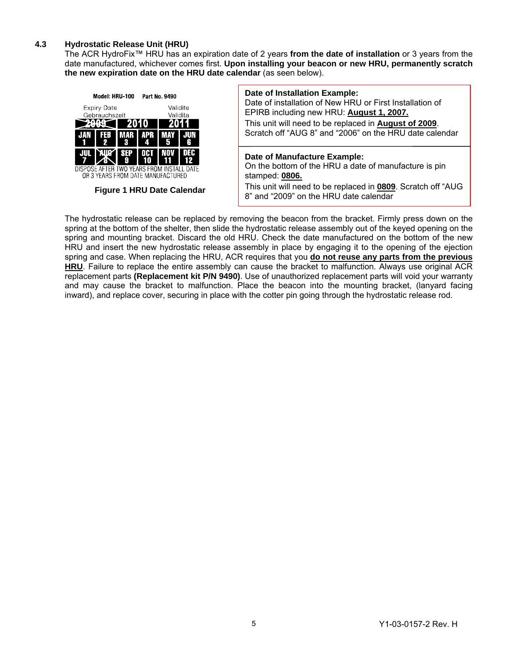#### **4.3 Hydrostatic Release Unit (HRU)**

The ACR HydroFix™ HRU has an expiration date of 2 years **from the date of installation** or 3 years from the date manufactured, whichever comes first. **Upon installing your beacon or new HRU, permanently scratch the new expiration date on the HRU date calendar** (as seen below).



**Figure 1 HRU Date Calendar** 

#### **Date of Installation Example:**

Date of installation of New HRU or First Installation of EPIRB including new HRU: **August 1, 2007.** 

This unit will need to be replaced in **August of 2009**. Scratch off "AUG 8" and "2006" on the HRU date calendar

#### **Date of Manufacture Example:**

On the bottom of the HRU a date of manufacture is pin stamped: **0806.** 

This unit will need to be replaced in **0809**. Scratch off "AUG 8" and "2009" on the HRU date calendar

The hydrostatic release can be replaced by removing the beacon from the bracket. Firmly press down on the spring at the bottom of the shelter, then slide the hydrostatic release assembly out of the keyed opening on the spring and mounting bracket. Discard the old HRU. Check the date manufactured on the bottom of the new HRU and insert the new hydrostatic release assembly in place by engaging it to the opening of the ejection spring and case. When replacing the HRU, ACR requires that you **do not reuse any parts from the previous HRU**. Failure to replace the entire assembly can cause the bracket to malfunction. Always use original ACR replacement parts **(Replacement kit P/N 9490)**. Use of unauthorized replacement parts will void your warranty and may cause the bracket to malfunction. Place the beacon into the mounting bracket, (lanyard facing inward), and replace cover, securing in place with the cotter pin going through the hydrostatic release rod.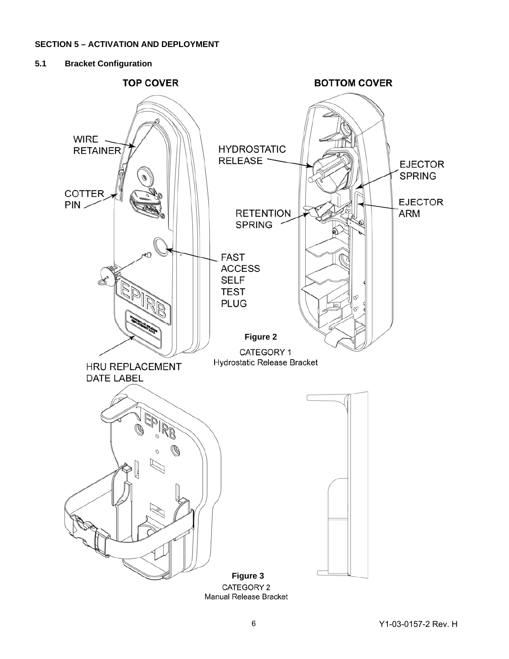#### **SECTION 5 – ACTIVATION AND DEPLOYMENT**

#### **5.1 Bracket Configuration**



CATEGORY 2 Manual Release Bracket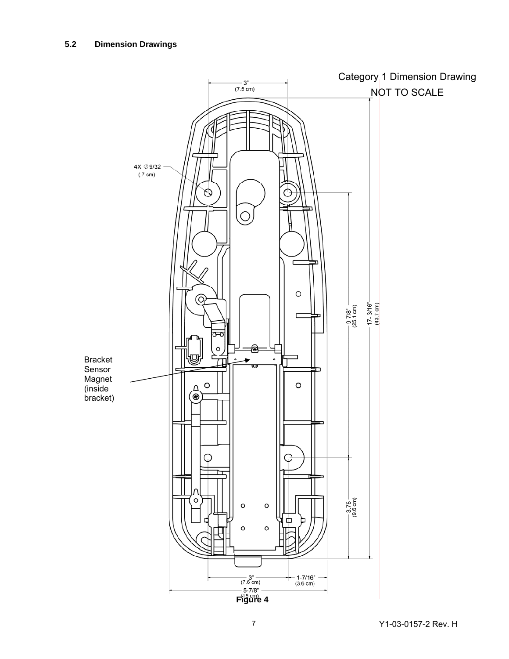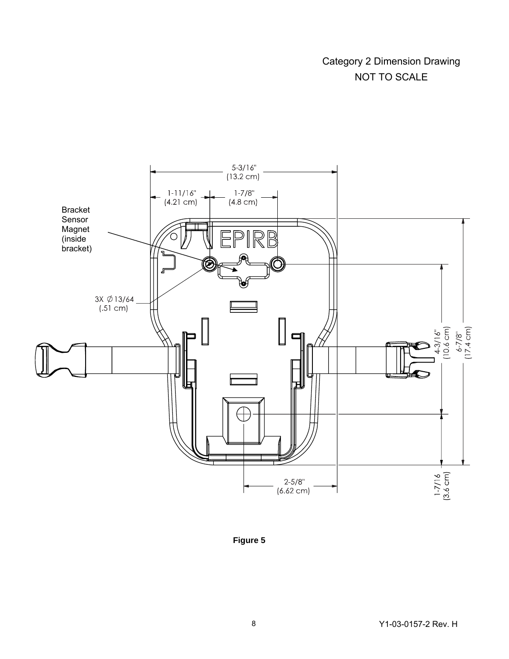### Category 2 Dimension Drawing NOT TO SCALE



**Figure 5**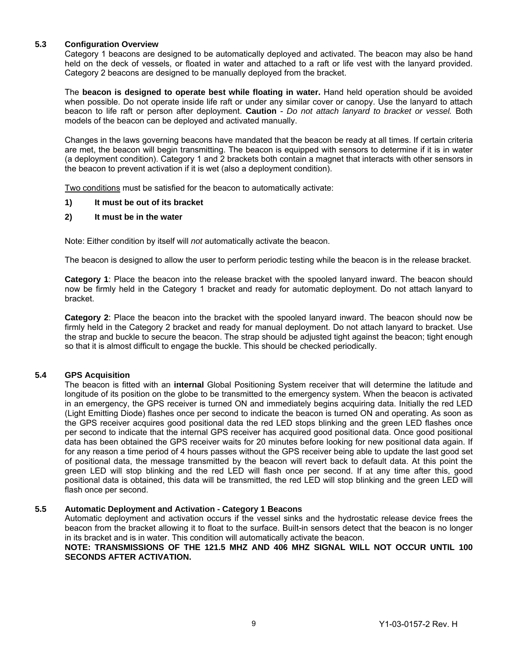#### **5.3 Configuration Overview**

Category 1 beacons are designed to be automatically deployed and activated. The beacon may also be hand held on the deck of vessels, or floated in water and attached to a raft or life vest with the lanyard provided. Category 2 beacons are designed to be manually deployed from the bracket.

The **beacon is designed to operate best while floating in water.** Hand held operation should be avoided when possible. Do not operate inside life raft or under any similar cover or canopy. Use the lanyard to attach beacon to life raft or person after deployment. **Caution** - *Do not attach lanyard to bracket or vessel.* Both models of the beacon can be deployed and activated manually.

Changes in the laws governing beacons have mandated that the beacon be ready at all times. If certain criteria are met, the beacon will begin transmitting. The beacon is equipped with sensors to determine if it is in water (a deployment condition). Category 1 and 2 brackets both contain a magnet that interacts with other sensors in the beacon to prevent activation if it is wet (also a deployment condition).

Two conditions must be satisfied for the beacon to automatically activate:

#### **1) It must be out of its bracket**

#### **2) It must be in the water**

Note: Either condition by itself will *not* automatically activate the beacon.

The beacon is designed to allow the user to perform periodic testing while the beacon is in the release bracket.

**Category 1**: Place the beacon into the release bracket with the spooled lanyard inward. The beacon should now be firmly held in the Category 1 bracket and ready for automatic deployment. Do not attach lanyard to bracket.

**Category 2**: Place the beacon into the bracket with the spooled lanyard inward. The beacon should now be firmly held in the Category 2 bracket and ready for manual deployment. Do not attach lanyard to bracket. Use the strap and buckle to secure the beacon. The strap should be adjusted tight against the beacon; tight enough so that it is almost difficult to engage the buckle. This should be checked periodically.

#### **5.4 GPS Acquisition**

The beacon is fitted with an **internal** Global Positioning System receiver that will determine the latitude and longitude of its position on the globe to be transmitted to the emergency system. When the beacon is activated in an emergency, the GPS receiver is turned ON and immediately begins acquiring data. Initially the red LED (Light Emitting Diode) flashes once per second to indicate the beacon is turned ON and operating. As soon as the GPS receiver acquires good positional data the red LED stops blinking and the green LED flashes once per second to indicate that the internal GPS receiver has acquired good positional data. Once good positional data has been obtained the GPS receiver waits for 20 minutes before looking for new positional data again. If for any reason a time period of 4 hours passes without the GPS receiver being able to update the last good set of positional data, the message transmitted by the beacon will revert back to default data. At this point the green LED will stop blinking and the red LED will flash once per second. If at any time after this, good positional data is obtained, this data will be transmitted, the red LED will stop blinking and the green LED will flash once per second.

#### **5.5 Automatic Deployment and Activation - Category 1 Beacons**

Automatic deployment and activation occurs if the vessel sinks and the hydrostatic release device frees the beacon from the bracket allowing it to float to the surface. Built-in sensors detect that the beacon is no longer in its bracket and is in water. This condition will automatically activate the beacon.

#### **NOTE: TRANSMISSIONS OF THE 121.5 MHZ AND 406 MHZ SIGNAL WILL NOT OCCUR UNTIL 100 SECONDS AFTER ACTIVATION.**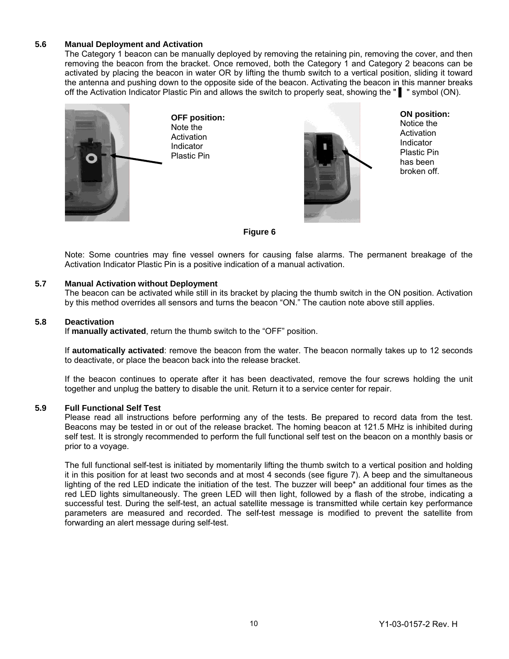#### **5.6 Manual Deployment and Activation**

The Category 1 beacon can be manually deployed by removing the retaining pin, removing the cover, and then removing the beacon from the bracket. Once removed, both the Category 1 and Category 2 beacons can be activated by placing the beacon in water OR by lifting the thumb switch to a vertical position, sliding it toward the antenna and pushing down to the opposite side of the beacon. Activating the beacon in this manner breaks off the Activation Indicator Plastic Pin and allows the switch to properly seat, showing the " ▌ " symbol (ON).



**OFF position:**  Note the **Activation** Indicator Plastic Pin



**ON position:** 

Notice the **Activation Indicator** Plastic Pin has been broken off.

#### **Figure 6**

Note: Some countries may fine vessel owners for causing false alarms. The permanent breakage of the Activation Indicator Plastic Pin is a positive indication of a manual activation.

#### **5.7 Manual Activation without Deployment**

The beacon can be activated while still in its bracket by placing the thumb switch in the ON position. Activation by this method overrides all sensors and turns the beacon "ON." The caution note above still applies.

#### **5.8 Deactivation**

If **manually activated**, return the thumb switch to the "OFF" position.

If **automatically activated**: remove the beacon from the water. The beacon normally takes up to 12 seconds to deactivate, or place the beacon back into the release bracket.

If the beacon continues to operate after it has been deactivated, remove the four screws holding the unit together and unplug the battery to disable the unit. Return it to a service center for repair.

#### **5.9 Full Functional Self Test**

Please read all instructions before performing any of the tests. Be prepared to record data from the test. Beacons may be tested in or out of the release bracket. The homing beacon at 121.5 MHz is inhibited during self test. It is strongly recommended to perform the full functional self test on the beacon on a monthly basis or prior to a voyage.

The full functional self-test is initiated by momentarily lifting the thumb switch to a vertical position and holding it in this position for at least two seconds and at most 4 seconds (see figure 7). A beep and the simultaneous lighting of the red LED indicate the initiation of the test. The buzzer will beep\* an additional four times as the red LED lights simultaneously. The green LED will then light, followed by a flash of the strobe, indicating a successful test. During the self-test, an actual satellite message is transmitted while certain key performance parameters are measured and recorded. The self-test message is modified to prevent the satellite from forwarding an alert message during self-test.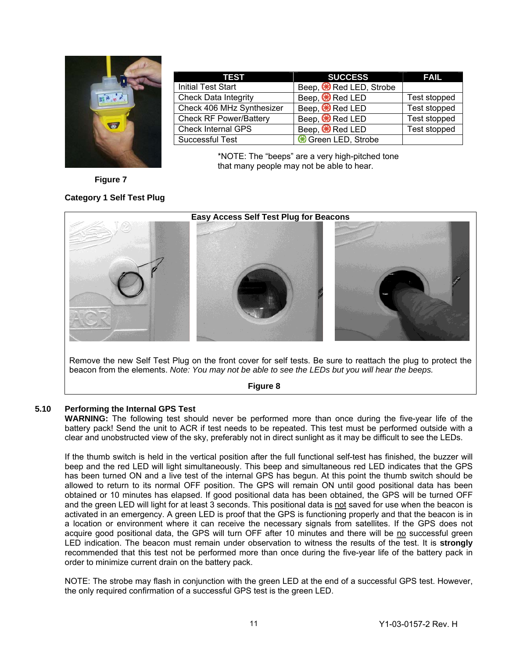

| <b>TEST</b>                   | <b>SUCCESS</b>                      | <b>FAIL</b>  |
|-------------------------------|-------------------------------------|--------------|
| <b>Initial Test Start</b>     | Beep, <sup>89</sup> Red LED, Strobe |              |
| <b>Check Data Integrity</b>   | Beep, $\bigcirc$ Red LED            | Test stopped |
| Check 406 MHz Synthesizer     | Beep, <sup>8</sup> Red LED          | Test stopped |
| <b>Check RF Power/Battery</b> | Beep, <sup>8</sup> Red LED          | Test stopped |
| <b>Check Internal GPS</b>     | Beep, <sup>89</sup> Red LED         | Test stopped |
| <b>Successful Test</b>        | Green LED, Strobe                   |              |

\*NOTE: The "beeps" are a very high-pitched tone that many people may not be able to hear.

**Figure 7** 

#### **Category 1 Self Test Plug**



Remove the new Self Test Plug on the front cover for self tests. Be sure to reattach the plug to protect the beacon from the elements. *Note: You may not be able to see the LEDs but you will hear the beeps.* 

#### **Figure 8**

#### **5.10 Performing the Internal GPS Test**

**WARNING:** The following test should never be performed more than once during the five-year life of the battery pack! Send the unit to ACR if test needs to be repeated. This test must be performed outside with a clear and unobstructed view of the sky, preferably not in direct sunlight as it may be difficult to see the LEDs.

If the thumb switch is held in the vertical position after the full functional self-test has finished, the buzzer will beep and the red LED will light simultaneously. This beep and simultaneous red LED indicates that the GPS has been turned ON and a live test of the internal GPS has begun. At this point the thumb switch should be allowed to return to its normal OFF position. The GPS will remain ON until good positional data has been obtained or 10 minutes has elapsed. If good positional data has been obtained, the GPS will be turned OFF and the green LED will light for at least 3 seconds. This positional data is not saved for use when the beacon is activated in an emergency. A green LED is proof that the GPS is functioning properly and that the beacon is in a location or environment where it can receive the necessary signals from satellites. If the GPS does not acquire good positional data, the GPS will turn OFF after 10 minutes and there will be no successful green LED indication. The beacon must remain under observation to witness the results of the test. It is **strongly** recommended that this test not be performed more than once during the five-year life of the battery pack in order to minimize current drain on the battery pack.

NOTE: The strobe may flash in conjunction with the green LED at the end of a successful GPS test. However, the only required confirmation of a successful GPS test is the green LED.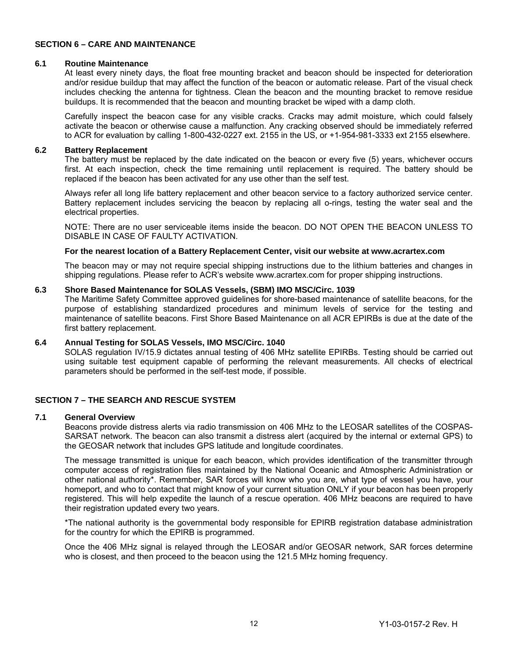#### **SECTION 6 – CARE AND MAINTENANCE**

#### **6.1 Routine Maintenance**

At least every ninety days, the float free mounting bracket and beacon should be inspected for deterioration and/or residue buildup that may affect the function of the beacon or automatic release. Part of the visual check includes checking the antenna for tightness. Clean the beacon and the mounting bracket to remove residue buildups. It is recommended that the beacon and mounting bracket be wiped with a damp cloth.

Carefully inspect the beacon case for any visible cracks. Cracks may admit moisture, which could falsely activate the beacon or otherwise cause a malfunction. Any cracking observed should be immediately referred to ACR for evaluation by calling 1-800-432-0227 ext. 2155 in the US, or +1-954-981-3333 ext 2155 elsewhere.

#### **6.2 Battery Replacement**

The battery must be replaced by the date indicated on the beacon or every five (5) years, whichever occurs first. At each inspection, check the time remaining until replacement is required. The battery should be replaced if the beacon has been activated for any use other than the self test.

Always refer all long life battery replacement and other beacon service to a factory authorized service center. Battery replacement includes servicing the beacon by replacing all o-rings, testing the water seal and the electrical properties.

NOTE: There are no user serviceable items inside the beacon. DO NOT OPEN THE BEACON UNLESS TO DISABLE IN CASE OF FAULTY ACTIVATION.

#### **For the nearest location of a Battery Replacement Center, visit our website at www.acrartex.com**

The beacon may or may not require special shipping instructions due to the lithium batteries and changes in shipping regulations. Please refer to ACR's website www.acrartex.com for proper shipping instructions.

#### **6.3 Shore Based Maintenance for SOLAS Vessels, (SBM) IMO MSC/Circ. 1039**

The Maritime Safety Committee approved guidelines for shore-based maintenance of satellite beacons, for the purpose of establishing standardized procedures and minimum levels of service for the testing and maintenance of satellite beacons. First Shore Based Maintenance on all ACR EPIRBs is due at the date of the first battery replacement.

#### **6.4 Annual Testing for SOLAS Vessels, IMO MSC/Circ. 1040**

SOLAS regulation IV/15.9 dictates annual testing of 406 MHz satellite EPIRBs. Testing should be carried out using suitable test equipment capable of performing the relevant measurements. All checks of electrical parameters should be performed in the self-test mode, if possible.

#### **SECTION 7 – THE SEARCH AND RESCUE SYSTEM**

#### **7.1 General Overview**

Beacons provide distress alerts via radio transmission on 406 MHz to the LEOSAR satellites of the COSPAS-SARSAT network. The beacon can also transmit a distress alert (acquired by the internal or external GPS) to the GEOSAR network that includes GPS latitude and longitude coordinates.

The message transmitted is unique for each beacon, which provides identification of the transmitter through computer access of registration files maintained by the National Oceanic and Atmospheric Administration or other national authority\*. Remember, SAR forces will know who you are, what type of vessel you have, your homeport, and who to contact that might know of your current situation ONLY if your beacon has been properly registered. This will help expedite the launch of a rescue operation. 406 MHz beacons are required to have their registration updated every two years.

\*The national authority is the governmental body responsible for EPIRB registration database administration for the country for which the EPIRB is programmed.

Once the 406 MHz signal is relayed through the LEOSAR and/or GEOSAR network, SAR forces determine who is closest, and then proceed to the beacon using the 121.5 MHz homing frequency.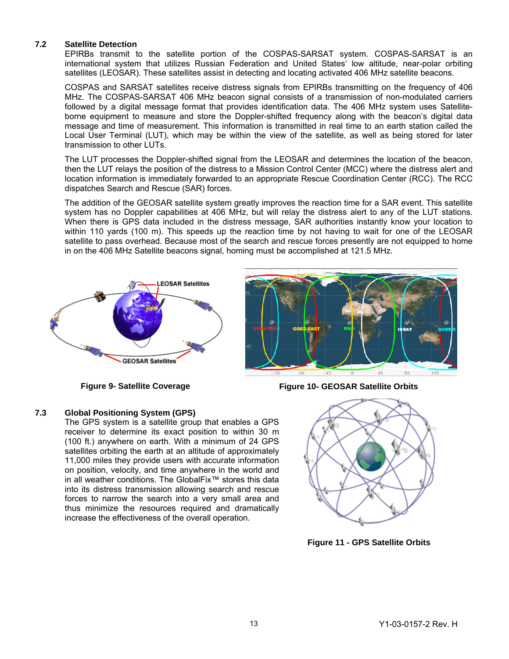#### **7.2 Satellite Detection**

EPIRBs transmit to the satellite portion of the COSPAS-SARSAT system. COSPAS-SARSAT is an international system that utilizes Russian Federation and United States' low altitude, near-polar orbiting satellites (LEOSAR). These satellites assist in detecting and locating activated 406 MHz satellite beacons.

COSPAS and SARSAT satellites receive distress signals from EPIRBs transmitting on the frequency of 406 MHz. The COSPAS-SARSAT 406 MHz beacon signal consists of a transmission of non-modulated carriers followed by a digital message format that provides identification data. The 406 MHz system uses Satelliteborne equipment to measure and store the Doppler-shifted frequency along with the beacon's digital data message and time of measurement. This information is transmitted in real time to an earth station called the Local User Terminal (LUT), which may be within the view of the satellite, as well as being stored for later transmission to other LUTs.

The LUT processes the Doppler-shifted signal from the LEOSAR and determines the location of the beacon, then the LUT relays the position of the distress to a Mission Control Center (MCC) where the distress alert and location information is immediately forwarded to an appropriate Rescue Coordination Center (RCC). The RCC dispatches Search and Rescue (SAR) forces.

The addition of the GEOSAR satellite system greatly improves the reaction time for a SAR event. This satellite system has no Doppler capabilities at 406 MHz, but will relay the distress alert to any of the LUT stations. When there is GPS data included in the distress message, SAR authorities instantly know your location to within 110 yards (100 m). This speeds up the reaction time by not having to wait for one of the LEOSAR satellite to pass overhead. Because most of the search and rescue forces presently are not equipped to home in on the 406 MHz Satellite beacons signal, homing must be accomplished at 121.5 MHz.





**Figure 9- Satellite Coverage Figure 10- GEOSAR Satellite Orbits** 

#### **7.3 Global Positioning System (GPS)**

The GPS system is a satellite group that enables a GPS receiver to determine its exact position to within 30 m (100 ft.) anywhere on earth. With a minimum of 24 GPS satellites orbiting the earth at an altitude of approximately 11,000 miles they provide users with accurate information on position, velocity, and time anywhere in the world and in all weather conditions. The GlobalFix™ stores this data into its distress transmission allowing search and rescue forces to narrow the search into a very small area and thus minimize the resources required and dramatically increase the effectiveness of the overall operation.



**Figure 11 - GPS Satellite Orbits**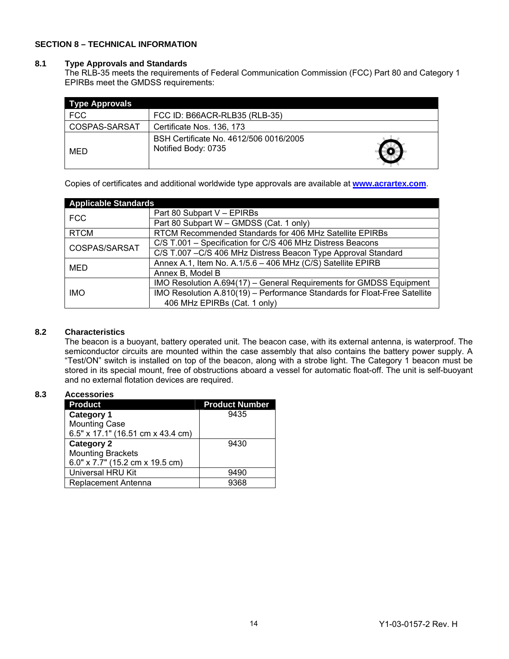#### **SECTION 8 – TECHNICAL INFORMATION**

#### **8.1 Type Approvals and Standards**

The RLB-35 meets the requirements of Federal Communication Commission (FCC) Part 80 and Category 1 EPIRBs meet the GMDSS requirements:

| <b>Type Approvals</b> |                                                               |  |  |  |  |  |  |
|-----------------------|---------------------------------------------------------------|--|--|--|--|--|--|
| <b>FCC</b>            | FCC ID: B66ACR-RLB35 (RLB-35)                                 |  |  |  |  |  |  |
| COSPAS-SARSAT         | Certificate Nos. 136, 173                                     |  |  |  |  |  |  |
| MED                   | BSH Certificate No. 4612/506 0016/2005<br>Notified Body: 0735 |  |  |  |  |  |  |

Copies of certificates and additional worldwide type approvals are available at **www.acrartex.com**.

| <b>Applicable Standards</b> |                                                                           |  |  |  |
|-----------------------------|---------------------------------------------------------------------------|--|--|--|
| <b>FCC</b>                  | Part 80 Subpart V - EPIRBs                                                |  |  |  |
|                             | Part 80 Subpart W - GMDSS (Cat. 1 only)                                   |  |  |  |
| <b>RTCM</b>                 | RTCM Recommended Standards for 406 MHz Satellite EPIRBs                   |  |  |  |
| COSPAS/SARSAT               | C/S T.001 - Specification for C/S 406 MHz Distress Beacons                |  |  |  |
|                             | C/S T.007 - C/S 406 MHz Distress Beacon Type Approval Standard            |  |  |  |
| MED                         | Annex A.1, Item No. A.1/5.6 - 406 MHz (C/S) Satellite EPIRB               |  |  |  |
|                             | Annex B, Model B                                                          |  |  |  |
|                             | IMO Resolution A.694(17) - General Requirements for GMDSS Equipment       |  |  |  |
| <b>IMO</b>                  | IMO Resolution A.810(19) - Performance Standards for Float-Free Satellite |  |  |  |
|                             | 406 MHz EPIRBs (Cat. 1 only)                                              |  |  |  |

#### **8.2 Characteristics**

The beacon is a buoyant, battery operated unit. The beacon case, with its external antenna, is waterproof. The semiconductor circuits are mounted within the case assembly that also contains the battery power supply. A "Test/ON" switch is installed on top of the beacon, along with a strobe light. The Category 1 beacon must be stored in its special mount, free of obstructions aboard a vessel for automatic float-off. The unit is self-buoyant and no external flotation devices are required.

#### **8.3 Accessories**

| <b>Product</b>                    | <b>Product Number</b> |
|-----------------------------------|-----------------------|
| <b>Category 1</b>                 | 9435                  |
| <b>Mounting Case</b>              |                       |
| 6.5" x 17.1" (16.51 cm x 43.4 cm) |                       |
| <b>Category 2</b>                 | 9430                  |
| <b>Mounting Brackets</b>          |                       |
| 6.0" x 7.7" (15.2 cm x 19.5 cm)   |                       |
| <b>Universal HRU Kit</b>          | 9490                  |
| Replacement Antenna               | 9368                  |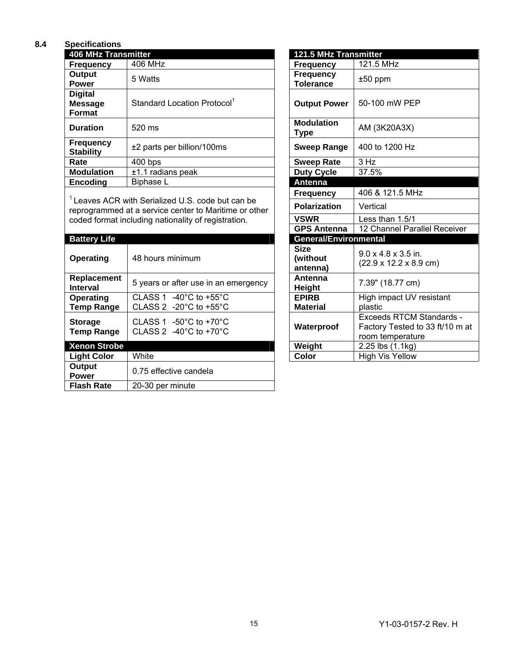#### **8.4 Specifications**

| <b>406 MHz Transmitter</b>                        | 121.5 MHz Transmitter                   |                                      |                |
|---------------------------------------------------|-----------------------------------------|--------------------------------------|----------------|
| <b>Frequency</b>                                  | 406 MHz                                 | <b>Frequency</b>                     | 121.5 MHz      |
| Output<br><b>Power</b>                            | 5 Watts                                 | <b>Frequency</b><br><b>Tolerance</b> | $±50$ ppm      |
| <b>Digital</b><br><b>Message</b><br><b>Format</b> | Standard Location Protocol <sup>1</sup> | <b>Output Power</b>                  | 50-100 mW PEP  |
| <b>Duration</b>                                   | 520 ms                                  | <b>Modulation</b><br><b>Type</b>     | AM (3K20A3X)   |
| <b>Frequency</b><br><b>Stability</b>              | ±2 parts per billion/100ms              | <b>Sweep Range</b>                   | 400 to 1200 Hz |
| Rate                                              | $400$ bps                               | <b>Sweep Rate</b>                    | 3 Hz           |
| <b>Modulation</b>                                 | $±1.1$ radians peak                     | <b>Duty Cycle</b>                    | 37.5%          |
| <b>Encoding</b>                                   | Biphase L                               | <b>Antenna</b>                       |                |

 $1$  Leaves ACR with Serialized U.S. code but can be reprogrammed at a service center to Maritime or other coded format including nationality of registration.

| <b>Battery Life</b>                 |                                                                                                 | <b>General/Environmental</b>        |                                                            |
|-------------------------------------|-------------------------------------------------------------------------------------------------|-------------------------------------|------------------------------------------------------------|
| 48 hours minimum<br>Operating       |                                                                                                 | <b>Size</b><br>(without<br>antenna) | 9.0 x 4.8 x 3.5 in<br>$(22.9 \times 12.2 \times 8.$        |
| Replacement<br><b>Interval</b>      | 5 years or after use in an emergency                                                            | Antenna<br><b>Height</b>            | 7.39" (18.77 cm)                                           |
| Operating<br><b>Temp Range</b>      | -40 $^{\circ}$ C to +55 $^{\circ}$ C<br>CLASS 1<br>CLASS 2 -20 $^{\circ}$ C to +55 $^{\circ}$ C | <b>EPIRB</b><br><b>Material</b>     | High impact UV<br>plastic                                  |
| <b>Storage</b><br><b>Temp Range</b> | CLASS 1 $-50^{\circ}$ C to $+70^{\circ}$ C<br>CLASS 2 -40 $^{\circ}$ C to +70 $^{\circ}$ C      | Waterproof                          | Exceeds RTCM<br><b>Factory Tested t</b><br>room temperatur |
| <b>Xenon Strobe</b>                 |                                                                                                 | Weight                              | $2.25$ lbs $(1.1kg)$                                       |
| <b>Light Color</b>                  | White                                                                                           | Color                               | <b>High Vis Yellow</b>                                     |
| Output<br><b>Power</b>              | 0.75 effective candela                                                                          |                                     |                                                            |
| <b>Flash Rate</b>                   | 20-30 per minute                                                                                |                                     |                                                            |

| 121.5 MHz Transmitter                |                                                                                        |
|--------------------------------------|----------------------------------------------------------------------------------------|
| <b>Frequency</b>                     | 121.5 MHz                                                                              |
| <b>Frequency</b><br><b>Tolerance</b> | $±50$ ppm                                                                              |
| <b>Output Power</b>                  | 50-100 mW PEP                                                                          |
| <b>Modulation</b><br>Type            | AM (3K20A3X)                                                                           |
| <b>Sweep Range</b>                   | 400 to 1200 Hz                                                                         |
| <b>Sweep Rate</b>                    | 3 Hz                                                                                   |
| <b>Duty Cycle</b>                    | 37.5%                                                                                  |
| <b>Antenna</b>                       |                                                                                        |
| <b>Frequency</b>                     | 406 & 121.5 MHz                                                                        |
| <b>Polarization</b>                  | Vertical                                                                               |
| <b>VSWR</b>                          | Less than 1.5/1                                                                        |
| <b>GPS Antenna</b>                   | 12 Channel Parallel Receiver                                                           |
| General/Environmental                |                                                                                        |
| <b>Size</b><br>(without<br>antenna)  | $9.0 \times 4.8 \times 3.5$ in.<br>$(22.9 \times 12.2 \times 8.9 \text{ cm})$          |
| Antenna<br><b>Height</b>             | 7.39" (18.77 cm)                                                                       |
| <b>EPIRB</b><br><b>Material</b>      | High impact UV resistant<br>plastic                                                    |
| Waterproof                           | <b>Exceeds RTCM Standards -</b><br>Factory Tested to 33 ft/10 m at<br>room temperature |
| Weight                               | 2.25 lbs (1.1kg)                                                                       |
| Color                                | <b>High Vis Yellow</b>                                                                 |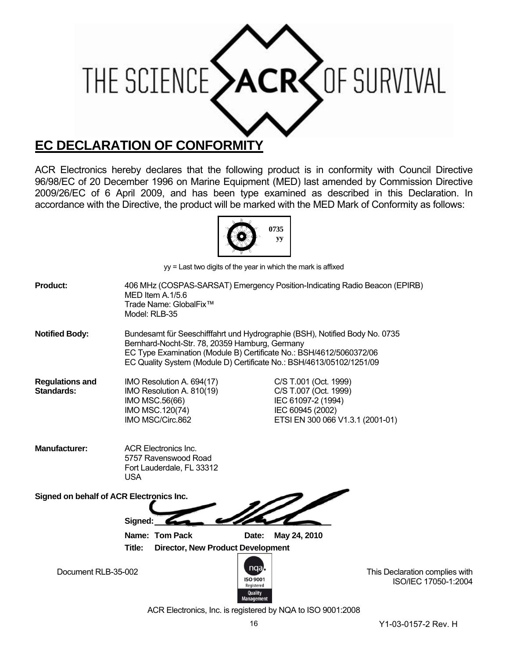

### **EC DECLARATION OF CONFORMITY**

ACR Electronics hereby declares that the following product is in conformity with Council Directive 96/98/EC of 20 December 1996 on Marine Equipment (MED) last amended by Commission Directive 2009/26/EC of 6 April 2009, and has been type examined as described in this Declaration. In accordance with the Directive, the product will be marked with the MED Mark of Conformity as follows:



yy = Last two digits of the year in which the mark is affixed

| <b>Product:</b>                             | Model: RLB-35 | MED Item A.1/5.6<br>Trade Name: GlobalFix™                                                                                                                                                    |                                       |                                                                                          | 406 MHz (COSPAS-SARSAT) Emergency Position-Indicating Radio Beacon (EPIRB)  |                                                        |  |
|---------------------------------------------|---------------|-----------------------------------------------------------------------------------------------------------------------------------------------------------------------------------------------|---------------------------------------|------------------------------------------------------------------------------------------|-----------------------------------------------------------------------------|--------------------------------------------------------|--|
| <b>Notified Body:</b>                       |               | Bernhard-Nocht-Str. 78, 20359 Hamburg, Germany<br>EC Type Examination (Module B) Certificate No.: BSH/4612/5060372/06<br>EC Quality System (Module D) Certificate No.: BSH/4613/05102/1251/09 |                                       |                                                                                          | Bundesamt für Seeschifffahrt und Hydrographie (BSH), Notified Body No. 0735 |                                                        |  |
| <b>Regulations and</b><br><b>Standards:</b> |               | IMO Resolution A. 694(17)<br>IMO Resolution A. 810(19)<br>IMO MSC.56(66)<br>IMO MSC.120(74)<br>IMO MSC/Circ.862                                                                               |                                       | C/S T.001 (Oct. 1999)<br>C/S T.007 (Oct. 1999)<br>IEC 61097-2 (1994)<br>IEC 60945 (2002) | ETSI EN 300 066 V1.3.1 (2001-01)                                            |                                                        |  |
| <b>Manufacturer:</b>                        | <b>USA</b>    | <b>ACR Electronics Inc.</b><br>5757 Ravenswood Road<br>Fort Lauderdale, FL 33312                                                                                                              |                                       |                                                                                          |                                                                             |                                                        |  |
| Signed on behalf of ACR Electronics Inc.    | Signed:       |                                                                                                                                                                                               |                                       |                                                                                          |                                                                             |                                                        |  |
|                                             |               | Name: Tom Pack                                                                                                                                                                                | Date:                                 | May 24, 2010                                                                             |                                                                             |                                                        |  |
|                                             | Title:        | <b>Director, New Product Development</b>                                                                                                                                                      |                                       |                                                                                          |                                                                             |                                                        |  |
| Document RLB-35-002                         |               |                                                                                                                                                                                               | nga,<br><b>ISO 9001</b><br>Registered |                                                                                          |                                                                             | This Declaration complies with<br>ISO/IEC 17050-1:2004 |  |

Quality<br>Manageme ACR Electronics, Inc. is registered by NQA to ISO 9001:2008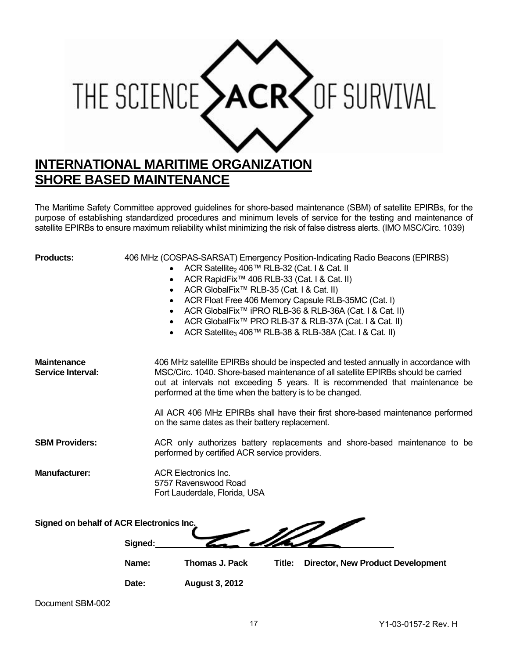

The Maritime Safety Committee approved guidelines for shore-based maintenance (SBM) of satellite EPIRBs, for the purpose of establishing standardized procedures and minimum levels of service for the testing and maintenance of satellite EPIRBs to ensure maximum reliability whilst minimizing the risk of false distress alerts. (IMO MSC/Circ. 1039)

| <b>Products:</b>                               | 406 MHz (COSPAS-SARSAT) Emergency Position-Indicating Radio Beacons (EPIRBS)<br>ACR Satellite <sub>2</sub> 406™ RLB-32 (Cat. I & Cat. II<br>ACR RapidFix <sup>™</sup> 406 RLB-33 (Cat. I & Cat. II)<br>$\bullet$<br>ACR GlobalFix <sup>™</sup> RLB-35 (Cat. I & Cat. II)<br>$\bullet$<br>ACR Float Free 406 Memory Capsule RLB-35MC (Cat. I)<br>$\bullet$<br>ACR GlobalFix <sup>™</sup> iPRO RLB-36 & RLB-36A (Cat. I & Cat. II)<br>$\bullet$<br>ACR GlobalFix <sup>™</sup> PRO RLB-37 & RLB-37A (Cat. I & Cat. II)<br>$\bullet$<br>ACR Satellite <sub>3</sub> 406™ RLB-38 & RLB-38A (Cat. I & Cat. II) |  |  |  |
|------------------------------------------------|---------------------------------------------------------------------------------------------------------------------------------------------------------------------------------------------------------------------------------------------------------------------------------------------------------------------------------------------------------------------------------------------------------------------------------------------------------------------------------------------------------------------------------------------------------------------------------------------------------|--|--|--|
| <b>Maintenance</b><br><b>Service Interval:</b> | 406 MHz satellite EPIRBs should be inspected and tested annually in accordance with<br>MSC/Circ. 1040. Shore-based maintenance of all satellite EPIRBs should be carried<br>out at intervals not exceeding 5 years. It is recommended that maintenance be<br>performed at the time when the battery is to be changed.                                                                                                                                                                                                                                                                                   |  |  |  |
|                                                | All ACR 406 MHz EPIRBs shall have their first shore-based maintenance performed<br>on the same dates as their battery replacement.                                                                                                                                                                                                                                                                                                                                                                                                                                                                      |  |  |  |
| <b>SBM Providers:</b>                          | ACR only authorizes battery replacements and shore-based maintenance to be<br>performed by certified ACR service providers.                                                                                                                                                                                                                                                                                                                                                                                                                                                                             |  |  |  |
| <b>Manufacturer:</b>                           | <b>ACR Electronics Inc.</b><br>5757 Ravenswood Road<br>Fort Lauderdale, Florida, USA                                                                                                                                                                                                                                                                                                                                                                                                                                                                                                                    |  |  |  |
| Signed on behalf of ACR Electronics Inc.       |                                                                                                                                                                                                                                                                                                                                                                                                                                                                                                                                                                                                         |  |  |  |
|                                                | Signed:                                                                                                                                                                                                                                                                                                                                                                                                                                                                                                                                                                                                 |  |  |  |
|                                                | <b>Thomas J. Pack</b><br>Name:<br>Title:<br><b>Director, New Product Development</b>                                                                                                                                                                                                                                                                                                                                                                                                                                                                                                                    |  |  |  |
|                                                | Date:<br><b>August 3, 2012</b>                                                                                                                                                                                                                                                                                                                                                                                                                                                                                                                                                                          |  |  |  |

Document SBM-002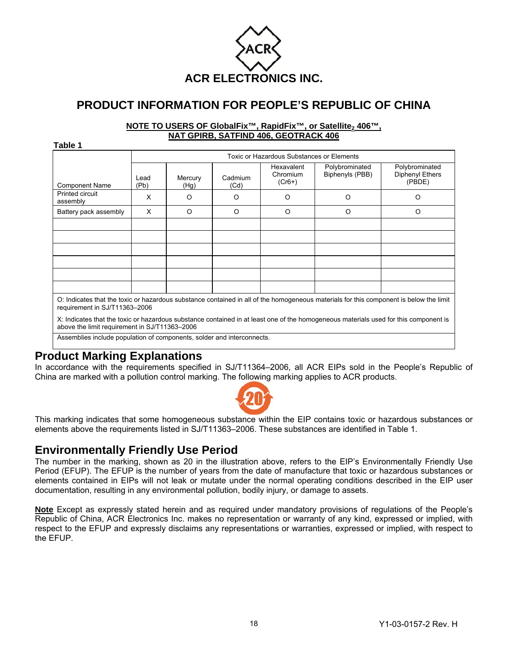

### **PRODUCT INFORMATION FOR PEOPLE'S REPUBLIC OF CHINA**

#### **NOTE TO USERS OF GlobalFix™, RapidFix™, or Satellite, 406™, NAT GPIRB, SATFIND 406, GEOTRACK 406**

**Table 1** 

|                             | Toxic or Hazardous Substances or Elements |                 |                 |                                    |                                   |                                             |  |  |  |
|-----------------------------|-------------------------------------------|-----------------|-----------------|------------------------------------|-----------------------------------|---------------------------------------------|--|--|--|
| <b>Component Name</b>       | Lead<br>(Pb)                              | Mercury<br>(Hg) | Cadmium<br>(Cd) | Hexavalent<br>Chromium<br>$(Cr6+)$ | Polybrominated<br>Biphenyls (PBB) | Polybrominated<br>Diphenyl Ethers<br>(PBDE) |  |  |  |
| Printed circuit<br>assembly | X                                         | O               | O               | O                                  | Ω                                 | O                                           |  |  |  |
| Battery pack assembly       | X                                         | O               | $\circ$         | $\circ$                            | O                                 | $\circ$                                     |  |  |  |
|                             |                                           |                 |                 |                                    |                                   |                                             |  |  |  |
|                             |                                           |                 |                 |                                    |                                   |                                             |  |  |  |
|                             |                                           |                 |                 |                                    |                                   |                                             |  |  |  |
|                             |                                           |                 |                 |                                    |                                   |                                             |  |  |  |
|                             |                                           |                 |                 |                                    |                                   |                                             |  |  |  |
|                             |                                           |                 |                 |                                    |                                   |                                             |  |  |  |

O: Indicates that the toxic or hazardous substance contained in all of the homogeneous materials for this component is below the limit requirement in SJ/T11363–2006

X: Indicates that the toxic or hazardous substance contained in at least one of the homogeneous materials used for this component is above the limit requirement in SJ/T11363–2006

Assemblies include population of components, solder and interconnects.

#### **Product Marking Explanations**

In accordance with the requirements specified in SJ/T11364–2006, all ACR EIPs sold in the People's Republic of China are marked with a pollution control marking. The following marking applies to ACR products.



This marking indicates that some homogeneous substance within the EIP contains toxic or hazardous substances or elements above the requirements listed in SJ/T11363–2006. These substances are identified in Table 1.

### **Environmentally Friendly Use Period**

The number in the marking, shown as 20 in the illustration above, refers to the EIP's Environmentally Friendly Use Period (EFUP). The EFUP is the number of years from the date of manufacture that toxic or hazardous substances or elements contained in EIPs will not leak or mutate under the normal operating conditions described in the EIP user documentation, resulting in any environmental pollution, bodily injury, or damage to assets.

**Note** Except as expressly stated herein and as required under mandatory provisions of regulations of the People's Republic of China, ACR Electronics Inc. makes no representation or warranty of any kind, expressed or implied, with respect to the EFUP and expressly disclaims any representations or warranties, expressed or implied, with respect to the EFUP.